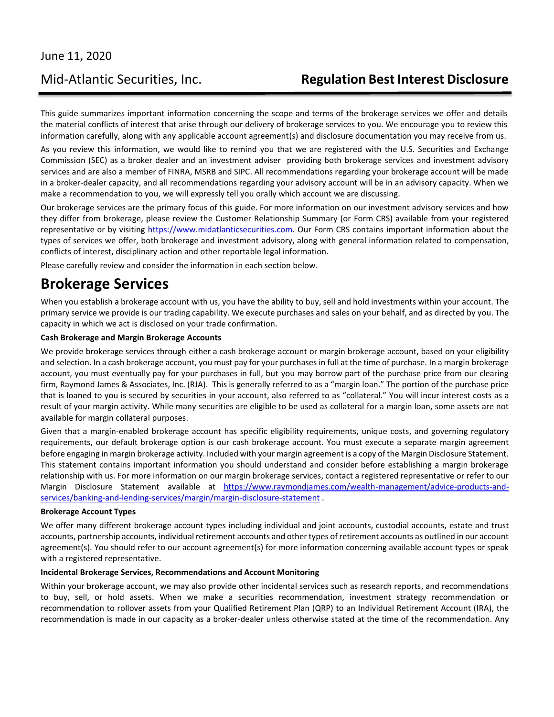This guide summarizes important information concerning the scope and terms of the brokerage services we offer and details the material conflicts of interest that arise through our delivery of brokerage services to you. We encourage you to review this information carefully, along with any applicable account agreement(s) and disclosure documentation you may receive from us.

As you review this information, we would like to remind you that we are registered with the U.S. Securities and Exchange Commission (SEC) as a broker dealer and an investment adviser providing both brokerage services and investment advisory services and are also a member of FINRA, MSRB and SIPC. All recommendations regarding your brokerage account will be made in a broker-dealer capacity, and all recommendations regarding your advisory account will be in an advisory capacity. When we make a recommendation to you, we will expressly tell you orally which account we are discussing.

Our brokerage services are the primary focus of this guide. For more information on our investment advisory services and how they differ from brokerage, please review the Customer Relationship Summary (or Form CRS) available from your registered representative or by visiting [https://www.midatlanticsecurities.com.](https://www.midatlanticsecurities.com/) Our Form CRS contains important information about the types of services we offer, both brokerage and investment advisory, along with general information related to compensation, conflicts of interest, disciplinary action and other reportable legal information.

Please carefully review and consider the information in each section below.

## **Brokerage Services**

When you establish a brokerage account with us, you have the ability to buy, sell and hold investments within your account. The primary service we provide is our trading capability. We execute purchases and sales on your behalf, and as directed by you. The capacity in which we act is disclosed on your trade confirmation.

#### **Cash Brokerage and Margin Brokerage Accounts**

We provide brokerage services through either a cash brokerage account or margin brokerage account, based on your eligibility and selection. In a cash brokerage account, you must pay for your purchases in full at the time of purchase. In a margin brokerage account, you must eventually pay for your purchases in full, but you may borrow part of the purchase price from our clearing firm, Raymond James & Associates, Inc. (RJA). This is generally referred to as a "margin loan." The portion of the purchase price that is loaned to you is secured by securities in your account, also referred to as "collateral." You will incur interest costs as a result of your margin activity. While many securities are eligible to be used as collateral for a margin loan, some assets are not available for margin collateral purposes.

Given that a margin-enabled brokerage account has specific eligibility requirements, unique costs, and governing regulatory requirements, our default brokerage option is our cash brokerage account. You must execute a separate margin agreement before engaging in margin brokerage activity. Included with your margin agreement is a copy of the Margin Disclosure Statement. This statement contains important information you should understand and consider before establishing a margin brokerage relationship with us. For more information on our margin brokerage services, contact a registered representative or refer to our Margin Disclosure Statement available at [https://www.raymondjames.com/wealth-management/advice-products-and](https://www.raymondjames.com/wealth-management/advice-products-and-services/banking-and-lending-services/margin/margin-disclosure-statement)[services/banking-and-lending-services/margin/margin-disclosure-statement](https://www.raymondjames.com/wealth-management/advice-products-and-services/banking-and-lending-services/margin/margin-disclosure-statement) .

#### **Brokerage Account Types**

We offer many different brokerage account types including individual and joint accounts, custodial accounts, estate and trust accounts, partnership accounts, individual retirement accounts and other types of retirement accounts as outlined in our account agreement(s). You should refer to our account agreement(s) for more information concerning available account types or speak with a registered representative.

#### **Incidental Brokerage Services, Recommendations and Account Monitoring**

Within your brokerage account, we may also provide other incidental services such as research reports, and recommendations to buy, sell, or hold assets. When we make a securities recommendation, investment strategy recommendation or recommendation to rollover assets from your Qualified Retirement Plan (QRP) to an Individual Retirement Account (IRA), the recommendation is made in our capacity as a broker-dealer unless otherwise stated at the time of the recommendation. Any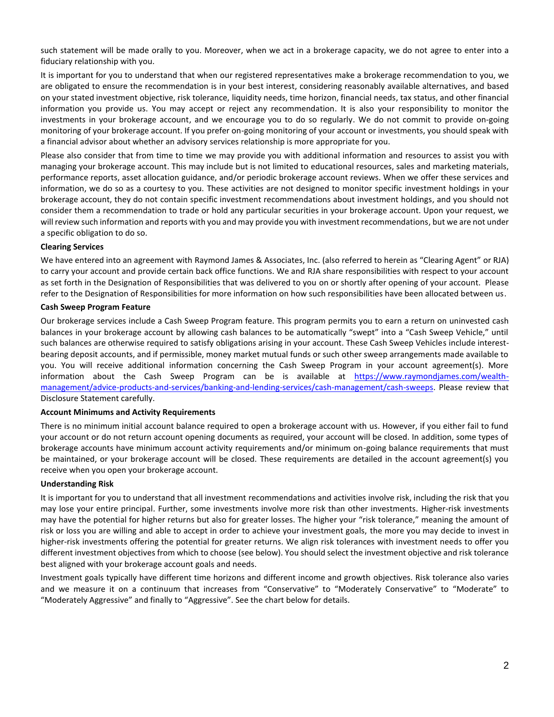such statement will be made orally to you. Moreover, when we act in a brokerage capacity, we do not agree to enter into a fiduciary relationship with you.

It is important for you to understand that when our registered representatives make a brokerage recommendation to you, we are obligated to ensure the recommendation is in your best interest, considering reasonably available alternatives, and based on your stated investment objective, risk tolerance, liquidity needs, time horizon, financial needs, tax status, and other financial information you provide us. You may accept or reject any recommendation. It is also your responsibility to monitor the investments in your brokerage account, and we encourage you to do so regularly. We do not commit to provide on-going monitoring of your brokerage account. If you prefer on-going monitoring of your account or investments, you should speak with a financial advisor about whether an advisory services relationship is more appropriate for you.

Please also consider that from time to time we may provide you with additional information and resources to assist you with managing your brokerage account. This may include but is not limited to educational resources, sales and marketing materials, performance reports, asset allocation guidance, and/or periodic brokerage account reviews. When we offer these services and information, we do so as a courtesy to you. These activities are not designed to monitor specific investment holdings in your brokerage account, they do not contain specific investment recommendations about investment holdings, and you should not consider them a recommendation to trade or hold any particular securities in your brokerage account. Upon your request, we will review such information and reports with you and may provide you with investment recommendations, but we are not under a specific obligation to do so.

#### **Clearing Services**

We have entered into an agreement with Raymond James & Associates, Inc. (also referred to herein as "Clearing Agent" or RJA) to carry your account and provide certain back office functions. We and RJA share responsibilities with respect to your account as set forth in the Designation of Responsibilities that was delivered to you on or shortly after opening of your account. Please refer to the Designation of Responsibilities for more information on how such responsibilities have been allocated between us.

#### **Cash Sweep Program Feature**

Our brokerage services include a Cash Sweep Program feature. This program permits you to earn a return on uninvested cash balances in your brokerage account by allowing cash balances to be automatically "swept" into a "Cash Sweep Vehicle," until such balances are otherwise required to satisfy obligations arising in your account. These Cash Sweep Vehicles include interestbearing deposit accounts, and if permissible, money market mutual funds or such other sweep arrangements made available to you. You will receive additional information concerning the Cash Sweep Program in your account agreement(s). More information about the Cash Sweep Program can be is available at [https://www.raymondjames.com/wealth](https://www.raymondjames.com/wealth-management/advice-products-and-services/banking-and-lending-services/cash-management/cash-sweeps)[management/advice-products-and-services/banking-and-lending-services/cash-management/cash-sweeps.](https://www.raymondjames.com/wealth-management/advice-products-and-services/banking-and-lending-services/cash-management/cash-sweeps) Please review that Disclosure Statement carefully.

#### **Account Minimums and Activity Requirements**

There is no minimum initial account balance required to open a brokerage account with us. However, if you either fail to fund your account or do not return account opening documents as required, your account will be closed. In addition, some types of brokerage accounts have minimum account activity requirements and/or minimum on-going balance requirements that must be maintained, or your brokerage account will be closed. These requirements are detailed in the account agreement(s) you receive when you open your brokerage account.

#### **Understanding Risk**

It is important for you to understand that all investment recommendations and activities involve risk, including the risk that you may lose your entire principal. Further, some investments involve more risk than other investments. Higher-risk investments may have the potential for higher returns but also for greater losses. The higher your "risk tolerance," meaning the amount of risk or loss you are willing and able to accept in order to achieve your investment goals, the more you may decide to invest in higher-risk investments offering the potential for greater returns. We align risk tolerances with investment needs to offer you different investment objectives from which to choose (see below). You should select the investment objective and risk tolerance best aligned with your brokerage account goals and needs.

Investment goals typically have different time horizons and different income and growth objectives. Risk tolerance also varies and we measure it on a continuum that increases from "Conservative" to "Moderately Conservative" to "Moderate" to "Moderately Aggressive" and finally to "Aggressive". See the chart below for details.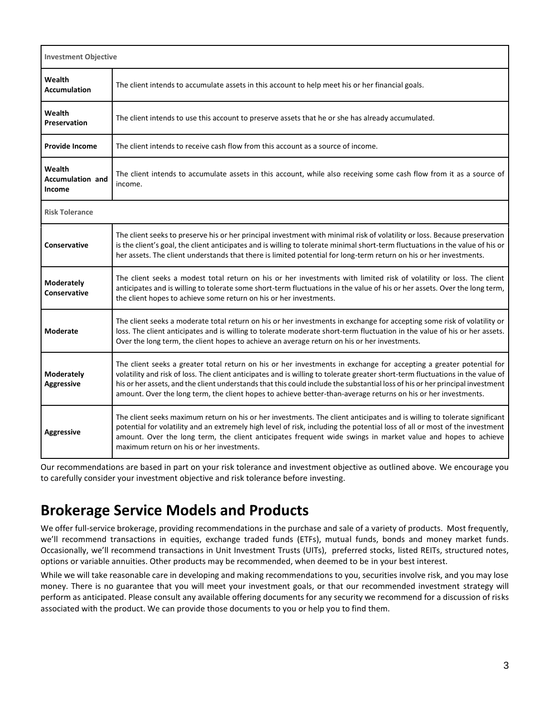| <b>Investment Objective</b>                 |                                                                                                                                                                                                                                                                                                                                                                                                                                                                                                          |
|---------------------------------------------|----------------------------------------------------------------------------------------------------------------------------------------------------------------------------------------------------------------------------------------------------------------------------------------------------------------------------------------------------------------------------------------------------------------------------------------------------------------------------------------------------------|
| Wealth<br><b>Accumulation</b>               | The client intends to accumulate assets in this account to help meet his or her financial goals.                                                                                                                                                                                                                                                                                                                                                                                                         |
| Wealth<br><b>Preservation</b>               | The client intends to use this account to preserve assets that he or she has already accumulated.                                                                                                                                                                                                                                                                                                                                                                                                        |
| <b>Provide Income</b>                       | The client intends to receive cash flow from this account as a source of income.                                                                                                                                                                                                                                                                                                                                                                                                                         |
| Wealth<br><b>Accumulation and</b><br>Income | The client intends to accumulate assets in this account, while also receiving some cash flow from it as a source of<br>income.                                                                                                                                                                                                                                                                                                                                                                           |
| <b>Risk Tolerance</b>                       |                                                                                                                                                                                                                                                                                                                                                                                                                                                                                                          |
| Conservative                                | The client seeks to preserve his or her principal investment with minimal risk of volatility or loss. Because preservation<br>is the client's goal, the client anticipates and is willing to tolerate minimal short-term fluctuations in the value of his or<br>her assets. The client understands that there is limited potential for long-term return on his or her investments.                                                                                                                       |
| Moderately<br>Conservative                  | The client seeks a modest total return on his or her investments with limited risk of volatility or loss. The client<br>anticipates and is willing to tolerate some short-term fluctuations in the value of his or her assets. Over the long term,<br>the client hopes to achieve some return on his or her investments.                                                                                                                                                                                 |
| <b>Moderate</b>                             | The client seeks a moderate total return on his or her investments in exchange for accepting some risk of volatility or<br>loss. The client anticipates and is willing to tolerate moderate short-term fluctuation in the value of his or her assets.<br>Over the long term, the client hopes to achieve an average return on his or her investments.                                                                                                                                                    |
| <b>Moderately</b><br><b>Aggressive</b>      | The client seeks a greater total return on his or her investments in exchange for accepting a greater potential for<br>volatility and risk of loss. The client anticipates and is willing to tolerate greater short-term fluctuations in the value of<br>his or her assets, and the client understands that this could include the substantial loss of his or her principal investment<br>amount. Over the long term, the client hopes to achieve better-than-average returns on his or her investments. |
| <b>Aggressive</b>                           | The client seeks maximum return on his or her investments. The client anticipates and is willing to tolerate significant<br>potential for volatility and an extremely high level of risk, including the potential loss of all or most of the investment<br>amount. Over the long term, the client anticipates frequent wide swings in market value and hopes to achieve<br>maximum return on his or her investments.                                                                                     |

Our recommendations are based in part on your risk tolerance and investment objective as outlined above. We encourage you to carefully consider your investment objective and risk tolerance before investing.

# **Brokerage Service Models and Products**

We offer full-service brokerage, providing recommendations in the purchase and sale of a variety of products. Most frequently, we'll recommend transactions in equities, exchange traded funds (ETFs), mutual funds, bonds and money market funds. Occasionally, we'll recommend transactions in Unit Investment Trusts (UITs), preferred stocks, listed REITs, structured notes, options or variable annuities. Other products may be recommended, when deemed to be in your best interest.

While we will take reasonable care in developing and making recommendations to you, securities involve risk, and you may lose money. There is no guarantee that you will meet your investment goals, or that our recommended investment strategy will perform as anticipated. Please consult any available offering documents for any security we recommend for a discussion of risks associated with the product. We can provide those documents to you or help you to find them.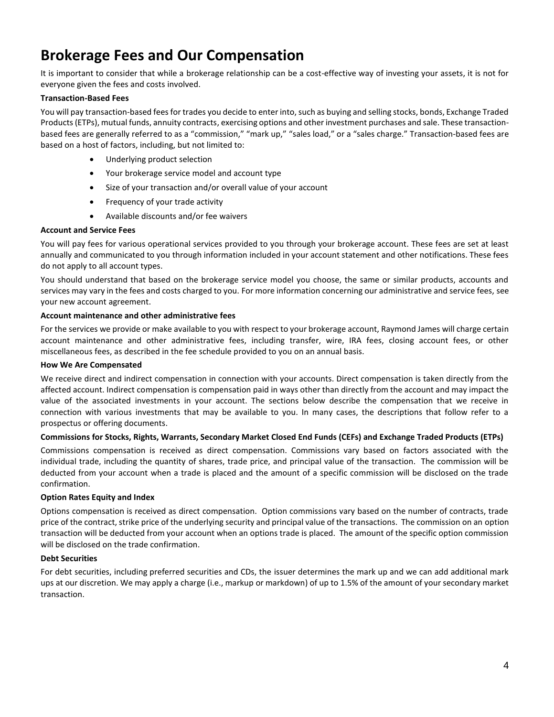# **Brokerage Fees and Our Compensation**

It is important to consider that while a brokerage relationship can be a cost-effective way of investing your assets, it is not for everyone given the fees and costs involved.

#### **Transaction-Based Fees**

You will pay transaction-based fees for trades you decide to enter into, such as buying and selling stocks, bonds, Exchange Traded Products (ETPs), mutual funds, annuity contracts, exercising options and other investment purchases and sale. These transactionbased fees are generally referred to as a "commission," "mark up," "sales load," or a "sales charge." Transaction-based fees are based on a host of factors, including, but not limited to:

- Underlying product selection
- Your brokerage service model and account type
- Size of your transaction and/or overall value of your account
- Frequency of your trade activity
- Available discounts and/or fee waivers

#### **Account and Service Fees**

You will pay fees for various operational services provided to you through your brokerage account. These fees are set at least annually and communicated to you through information included in your account statement and other notifications. These fees do not apply to all account types.

You should understand that based on the brokerage service model you choose, the same or similar products, accounts and services may vary in the fees and costs charged to you. For more information concerning our administrative and service fees, see your new account agreement.

#### **Account maintenance and other administrative fees**

For the services we provide or make available to you with respect to your brokerage account, Raymond James will charge certain account maintenance and other administrative fees, including transfer, wire, IRA fees, closing account fees, or other miscellaneous fees, as described in the fee schedule provided to you on an annual basis.

#### **How We Are Compensated**

We receive direct and indirect compensation in connection with your accounts. Direct compensation is taken directly from the affected account. Indirect compensation is compensation paid in ways other than directly from the account and may impact the value of the associated investments in your account. The sections below describe the compensation that we receive in connection with various investments that may be available to you. In many cases, the descriptions that follow refer to a prospectus or offering documents.

#### **Commissions for Stocks, Rights, Warrants, Secondary Market Closed End Funds (CEFs) and Exchange Traded Products (ETPs)**

Commissions compensation is received as direct compensation. Commissions vary based on factors associated with the individual trade, including the quantity of shares, trade price, and principal value of the transaction. The commission will be deducted from your account when a trade is placed and the amount of a specific commission will be disclosed on the trade confirmation.

#### **Option Rates Equity and Index**

Options compensation is received as direct compensation. Option commissions vary based on the number of contracts, trade price of the contract, strike price of the underlying security and principal value of the transactions. The commission on an option transaction will be deducted from your account when an options trade is placed. The amount of the specific option commission will be disclosed on the trade confirmation.

#### **Debt Securities**

For debt securities, including preferred securities and CDs, the issuer determines the mark up and we can add additional mark ups at our discretion. We may apply a charge (i.e., markup or markdown) of up to 1.5% of the amount of your secondary market transaction.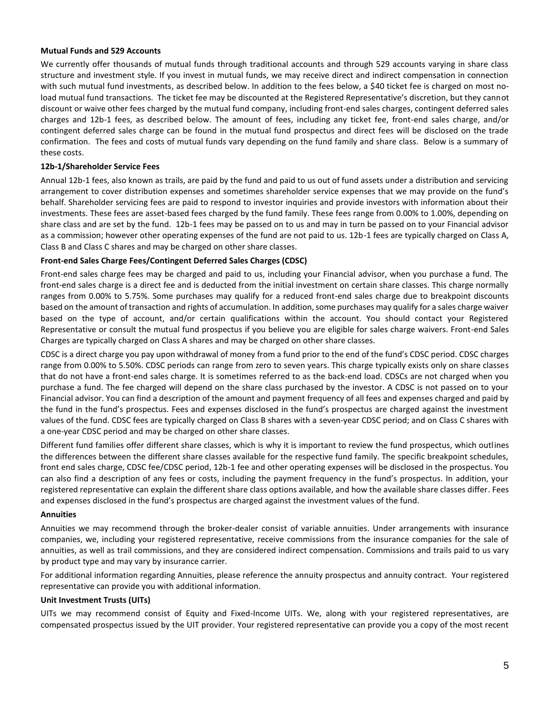#### **Mutual Funds and 529 Accounts**

We currently offer thousands of mutual funds through traditional accounts and through 529 accounts varying in share class structure and investment style. If you invest in mutual funds, we may receive direct and indirect compensation in connection with such mutual fund investments, as described below. In addition to the fees below, a \$40 ticket fee is charged on most noload mutual fund transactions. The ticket fee may be discounted at the Registered Representative's discretion, but they cannot discount or waive other fees charged by the mutual fund company, including front-end sales charges, contingent deferred sales charges and 12b-1 fees, as described below. The amount of fees, including any ticket fee, front-end sales charge, and/or contingent deferred sales charge can be found in the mutual fund prospectus and direct fees will be disclosed on the trade confirmation. The fees and costs of mutual funds vary depending on the fund family and share class. Below is a summary of these costs.

#### **12b-1/Shareholder Service Fees**

Annual 12b-1 fees, also known as trails, are paid by the fund and paid to us out of fund assets under a distribution and servicing arrangement to cover distribution expenses and sometimes shareholder service expenses that we may provide on the fund's behalf. Shareholder servicing fees are paid to respond to investor inquiries and provide investors with information about their investments. These fees are asset-based fees charged by the fund family. These fees range from 0.00% to 1.00%, depending on share class and are set by the fund. 12b-1 fees may be passed on to us and may in turn be passed on to your Financial advisor as a commission; however other operating expenses of the fund are not paid to us. 12b-1 fees are typically charged on Class A, Class B and Class C shares and may be charged on other share classes.

#### **Front-end Sales Charge Fees/Contingent Deferred Sales Charges (CDSC)**

Front-end sales charge fees may be charged and paid to us, including your Financial advisor, when you purchase a fund. The front-end sales charge is a direct fee and is deducted from the initial investment on certain share classes. This charge normally ranges from 0.00% to 5.75%. Some purchases may qualify for a reduced front-end sales charge due to breakpoint discounts based on the amount of transaction and rights of accumulation. In addition, some purchases may qualify for a sales charge waiver based on the type of account, and/or certain qualifications within the account. You should contact your Registered Representative or consult the mutual fund prospectus if you believe you are eligible for sales charge waivers. Front-end Sales Charges are typically charged on Class A shares and may be charged on other share classes.

CDSC is a direct charge you pay upon withdrawal of money from a fund prior to the end of the fund's CDSC period. CDSC charges range from 0.00% to 5.50%. CDSC periods can range from zero to seven years. This charge typically exists only on share classes that do not have a front-end sales charge. It is sometimes referred to as the back-end load. CDSCs are not charged when you purchase a fund. The fee charged will depend on the share class purchased by the investor. A CDSC is not passed on to your Financial advisor. You can find a description of the amount and payment frequency of all fees and expenses charged and paid by the fund in the fund's prospectus. Fees and expenses disclosed in the fund's prospectus are charged against the investment values of the fund. CDSC fees are typically charged on Class B shares with a seven-year CDSC period; and on Class C shares with a one-year CDSC period and may be charged on other share classes.

Different fund families offer different share classes, which is why it is important to review the fund prospectus, which outlines the differences between the different share classes available for the respective fund family. The specific breakpoint schedules, front end sales charge, CDSC fee/CDSC period, 12b-1 fee and other operating expenses will be disclosed in the prospectus. You can also find a description of any fees or costs, including the payment frequency in the fund's prospectus. In addition, your registered representative can explain the different share class options available, and how the available share classes differ. Fees and expenses disclosed in the fund's prospectus are charged against the investment values of the fund.

#### **Annuities**

Annuities we may recommend through the broker-dealer consist of variable annuities. Under arrangements with insurance companies, we, including your registered representative, receive commissions from the insurance companies for the sale of annuities, as well as trail commissions, and they are considered indirect compensation. Commissions and trails paid to us vary by product type and may vary by insurance carrier.

For additional information regarding Annuities, please reference the annuity prospectus and annuity contract. Your registered representative can provide you with additional information.

#### **Unit Investment Trusts (UITs)**

UITs we may recommend consist of Equity and Fixed-Income UITs. We, along with your registered representatives, are compensated prospectus issued by the UIT provider. Your registered representative can provide you a copy of the most recent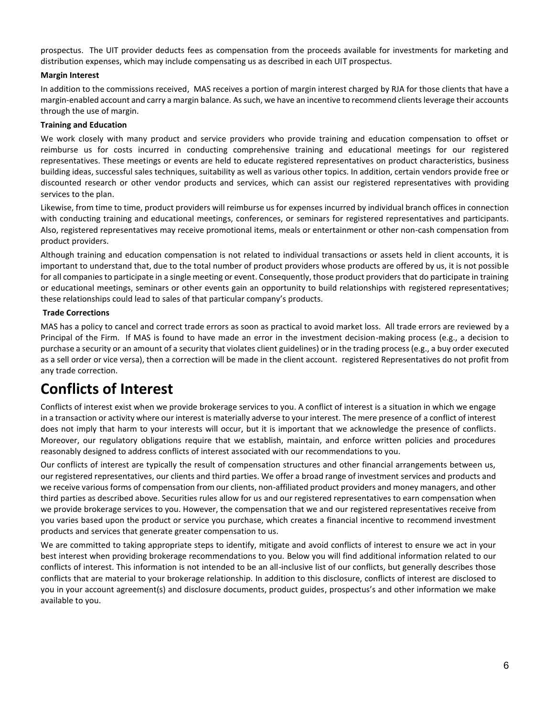prospectus. The UIT provider deducts fees as compensation from the proceeds available for investments for marketing and distribution expenses, which may include compensating us as described in each UIT prospectus.

#### **Margin Interest**

In addition to the commissions received, MAS receives a portion of margin interest charged by RJA for those clients that have a margin-enabled account and carry a margin balance. As such, we have an incentive to recommend clients leverage their accounts through the use of margin.

#### **Training and Education**

We work closely with many product and service providers who provide training and education compensation to offset or reimburse us for costs incurred in conducting comprehensive training and educational meetings for our registered representatives. These meetings or events are held to educate registered representatives on product characteristics, business building ideas, successful sales techniques, suitability as well as various other topics. In addition, certain vendors provide free or discounted research or other vendor products and services, which can assist our registered representatives with providing services to the plan.

Likewise, from time to time, product providers will reimburse us for expenses incurred by individual branch offices in connection with conducting training and educational meetings, conferences, or seminars for registered representatives and participants. Also, registered representatives may receive promotional items, meals or entertainment or other non-cash compensation from product providers.

Although training and education compensation is not related to individual transactions or assets held in client accounts, it is important to understand that, due to the total number of product providers whose products are offered by us, it is not possible for all companies to participate in a single meeting or event. Consequently, those product providers that do participate in training or educational meetings, seminars or other events gain an opportunity to build relationships with registered representatives; these relationships could lead to sales of that particular company's products.

#### **Trade Corrections**

MAS has a policy to cancel and correct trade errors as soon as practical to avoid market loss. All trade errors are reviewed by a Principal of the Firm. If MAS is found to have made an error in the investment decision-making process (e.g., a decision to purchase a security or an amount of a security that violates client guidelines) or in the trading process (e.g., a buy order executed as a sell order or vice versa), then a correction will be made in the client account. registered Representatives do not profit from any trade correction.

# **Conflicts of Interest**

Conflicts of interest exist when we provide brokerage services to you. A conflict of interest is a situation in which we engage in a transaction or activity where our interest is materially adverse to your interest. The mere presence of a conflict of interest does not imply that harm to your interests will occur, but it is important that we acknowledge the presence of conflicts. Moreover, our regulatory obligations require that we establish, maintain, and enforce written policies and procedures reasonably designed to address conflicts of interest associated with our recommendations to you.

Our conflicts of interest are typically the result of compensation structures and other financial arrangements between us, our registered representatives, our clients and third parties. We offer a broad range of investment services and products and we receive various forms of compensation from our clients, non-affiliated product providers and money managers, and other third parties as described above. Securities rules allow for us and our registered representatives to earn compensation when we provide brokerage services to you. However, the compensation that we and our registered representatives receive from you varies based upon the product or service you purchase, which creates a financial incentive to recommend investment products and services that generate greater compensation to us.

We are committed to taking appropriate steps to identify, mitigate and avoid conflicts of interest to ensure we act in your best interest when providing brokerage recommendations to you. Below you will find additional information related to our conflicts of interest. This information is not intended to be an all-inclusive list of our conflicts, but generally describes those conflicts that are material to your brokerage relationship. In addition to this disclosure, conflicts of interest are disclosed to you in your account agreement(s) and disclosure documents, product guides, prospectus's and other information we make available to you.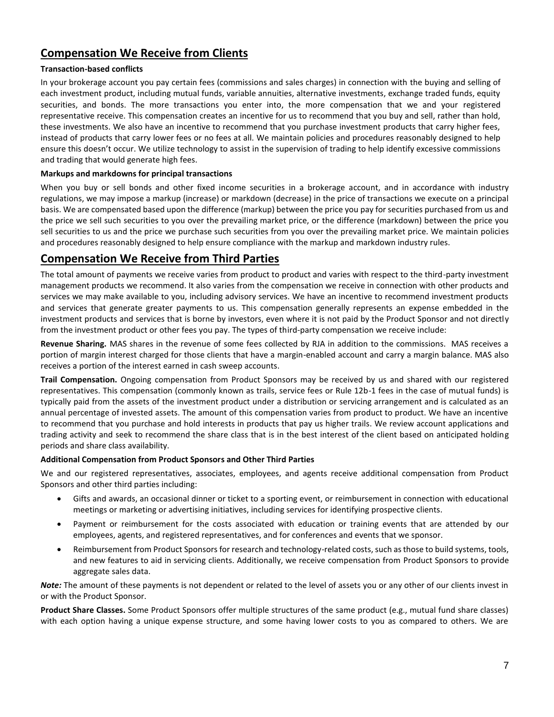### **Compensation We Receive from Clients**

#### **Transaction-based conflicts**

In your brokerage account you pay certain fees (commissions and sales charges) in connection with the buying and selling of each investment product, including mutual funds, variable annuities, alternative investments, exchange traded funds, equity securities, and bonds. The more transactions you enter into, the more compensation that we and your registered representative receive. This compensation creates an incentive for us to recommend that you buy and sell, rather than hold, these investments. We also have an incentive to recommend that you purchase investment products that carry higher fees, instead of products that carry lower fees or no fees at all. We maintain policies and procedures reasonably designed to help ensure this doesn't occur. We utilize technology to assist in the supervision of trading to help identify excessive commissions and trading that would generate high fees.

#### **Markups and markdowns for principal transactions**

When you buy or sell bonds and other fixed income securities in a brokerage account, and in accordance with industry regulations, we may impose a markup (increase) or markdown (decrease) in the price of transactions we execute on a principal basis. We are compensated based upon the difference (markup) between the price you pay for securities purchased from us and the price we sell such securities to you over the prevailing market price, or the difference (markdown) between the price you sell securities to us and the price we purchase such securities from you over the prevailing market price. We maintain policies and procedures reasonably designed to help ensure compliance with the markup and markdown industry rules.

### **Compensation We Receive from Third Parties**

The total amount of payments we receive varies from product to product and varies with respect to the third-party investment management products we recommend. It also varies from the compensation we receive in connection with other products and services we may make available to you, including advisory services. We have an incentive to recommend investment products and services that generate greater payments to us. This compensation generally represents an expense embedded in the investment products and services that is borne by investors, even where it is not paid by the Product Sponsor and not directly from the investment product or other fees you pay. The types of third-party compensation we receive include:

**Revenue Sharing.** MAS shares in the revenue of some fees collected by RJA in addition to the commissions. MAS receives a portion of margin interest charged for those clients that have a margin-enabled account and carry a margin balance. MAS also receives a portion of the interest earned in cash sweep accounts.

**Trail Compensation.** Ongoing compensation from Product Sponsors may be received by us and shared with our registered representatives. This compensation (commonly known as trails, service fees or Rule 12b-1 fees in the case of mutual funds) is typically paid from the assets of the investment product under a distribution or servicing arrangement and is calculated as an annual percentage of invested assets. The amount of this compensation varies from product to product. We have an incentive to recommend that you purchase and hold interests in products that pay us higher trails. We review account applications and trading activity and seek to recommend the share class that is in the best interest of the client based on anticipated holding periods and share class availability.

#### **Additional Compensation from Product Sponsors and Other Third Parties**

We and our registered representatives, associates, employees, and agents receive additional compensation from Product Sponsors and other third parties including:

- Gifts and awards, an occasional dinner or ticket to a sporting event, or reimbursement in connection with educational meetings or marketing or advertising initiatives, including services for identifying prospective clients.
- Payment or reimbursement for the costs associated with education or training events that are attended by our employees, agents, and registered representatives, and for conferences and events that we sponsor.
- Reimbursement from Product Sponsors for research and technology-related costs, such as those to build systems, tools, and new features to aid in servicing clients. Additionally, we receive compensation from Product Sponsors to provide aggregate sales data.

*Note:* The amount of these payments is not dependent or related to the level of assets you or any other of our clients invest in or with the Product Sponsor.

**Product Share Classes.** Some Product Sponsors offer multiple structures of the same product (e.g., mutual fund share classes) with each option having a unique expense structure, and some having lower costs to you as compared to others. We are